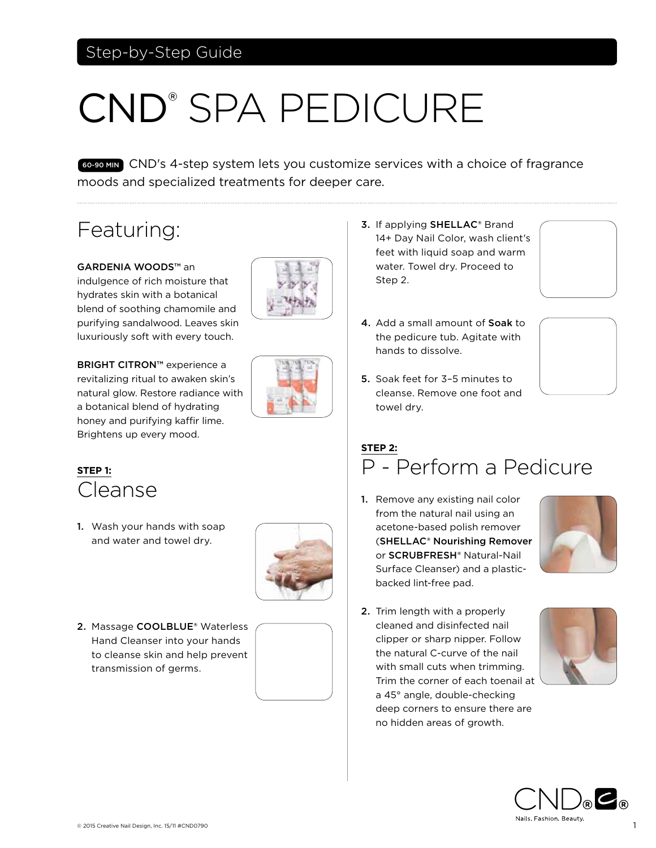#### Step-by-Step Guide

# CND® SPA PEDICURE

60-90 MIN CND's 4-step system lets you customize services with a choice of fragrance moods and specialized treatments for deeper care.

# Featuring:

GARDENIA WOODS™ an indulgence of rich moisture that hydrates skin with a botanical blend of soothing chamomile and purifying sandalwood. Leaves skin luxuriously soft with every touch.

BRIGHT CITRON™ experience a revitalizing ritual to awaken skin's natural glow. Restore radiance with a botanical blend of hydrating honey and purifying kaffir lime. Brightens up every mood.





#### **STEP 1:**  Cleanse

1. Wash your hands with soap and water and towel dry.



2. Massage COOLBLUE® Waterless Hand Cleanser into your hands to cleanse skin and help prevent transmission of germs.



- 3. If applying SHELLAC® Brand 14+ Day Nail Color, wash client's feet with liquid soap and warm water. Towel dry. Proceed to Step 2.
- 4. Add a small amount of Soak to the pedicure tub. Agitate with hands to dissolve.





5. Soak feet for 3–5 minutes to cleanse. Remove one foot and towel dry.

# **STEP 2:**  P - Perform a Pedicure

1. Remove any existing nail color from the natural nail using an acetone-based polish remover (SHELLAC® Nourishing Remover or SCRUBFRESH® Natural-Nail Surface Cleanser) and a plasticbacked lint-free pad.



2. Trim length with a properly cleaned and disinfected nail clipper or sharp nipper. Follow the natural C-curve of the nail with small cuts when trimming. Trim the corner of each toenail at a 45° angle, double-checking deep corners to ensure there are no hidden areas of growth.



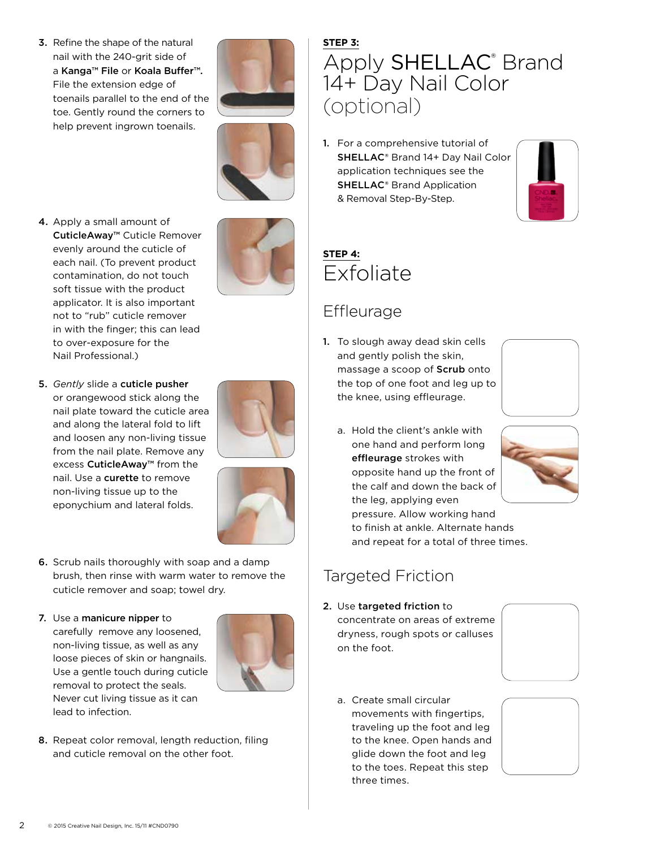3. Refine the shape of the natural nail with the 240-grit side of a Kanga™ File or Koala Buffer™. File the extension edge of toenails parallel to the end of the toe. Gently round the corners to help prevent ingrown toenails.





- 4. Apply a small amount of CuticleAway™ Cuticle Remover evenly around the cuticle of each nail. (To prevent product contamination, do not touch soft tissue with the product applicator. It is also important not to "rub" cuticle remover in with the finger; this can lead to over-exposure for the Nail Professional.)
- 5. *Gently* slide a cuticle pusher or orangewood stick along the nail plate toward the cuticle area and along the lateral fold to lift and loosen any non-living tissue from the nail plate. Remove any excess CuticleAway™ from the nail. Use a curette to remove non-living tissue up to the eponychium and lateral folds.





- 6. Scrub nails thoroughly with soap and a damp brush, then rinse with warm water to remove the cuticle remover and soap; towel dry.
- 7. Use a manicure nipper to carefully remove any loosened, non-living tissue, as well as any loose pieces of skin or hangnails. Use a gentle touch during cuticle removal to protect the seals. Never cut living tissue as it can lead to infection.



8. Repeat color removal, length reduction, filing and cuticle removal on the other foot.

# **STEP 3:** Apply SHELLAC<sup>®</sup> Brand 14+ Day Nail Color (optional)

1. For a comprehensive tutorial of SHELLAC® Brand 14+ Day Nail Color application techniques see the SHELLAC® Brand Application & Removal Step-By-Step.



# **STEP 4:**  Exfoliate

#### **Effleurage**

1. To slough away dead skin cells and gently polish the skin, massage a scoop of Scrub onto the top of one foot and leg up to the knee, using effleurage.



a. Hold the client's ankle with one hand and perform long effleurage strokes with opposite hand up the front of the calf and down the back of the leg, applying even pressure. Allow working hand



to finish at ankle. Alternate hands and repeat for a total of three times.

# Targeted Friction

- 2. Use targeted friction to concentrate on areas of extreme dryness, rough spots or calluses on the foot.
	- a. Create small circular movements with fingertips, traveling up the foot and leg to the knee. Open hands and glide down the foot and leg to the toes. Repeat this step three times.



2 © 2015 Creative Nail Design, Inc. 15/11 #CND0790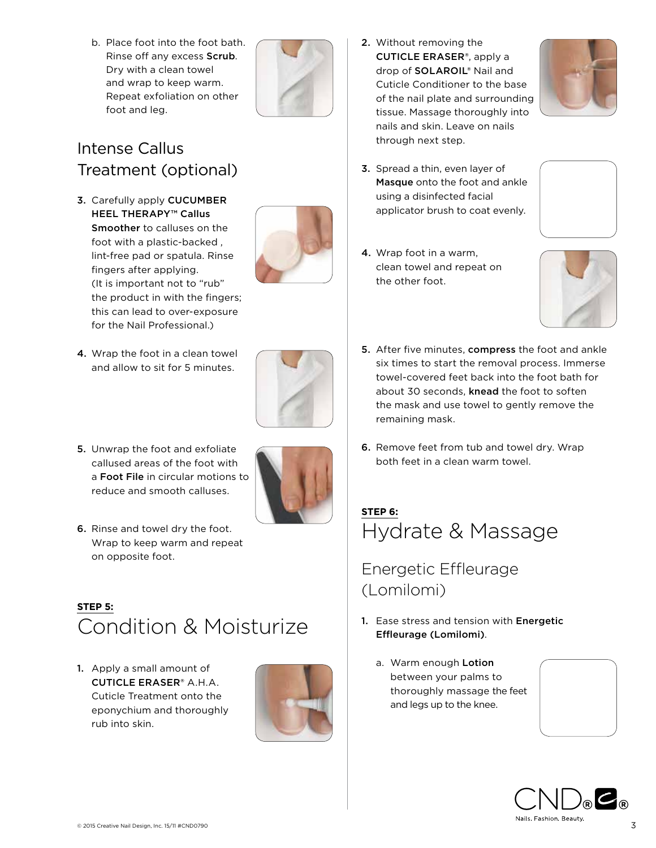b. Place foot into the foot bath. Rinse off any excess Scrub. Dry with a clean towel and wrap to keep warm. Repeat exfoliation on other foot and leg.



#### Intense Callus Treatment (optional)

3. Carefully apply CUCUMBER HEEL THERAPY<sup>™</sup> Callus Smoother to calluses on the foot with a plastic-backed , lint-free pad or spatula. Rinse fingers after applying. (It is important not to "rub" the product in with the fingers; this can lead to over-exposure for the Nail Professional.)



- 4. Wrap the foot in a clean towel and allow to sit for 5 minutes.
- 
- 5. Unwrap the foot and exfoliate callused areas of the foot with a Foot File in circular motions to reduce and smooth calluses.



6. Rinse and towel dry the foot. Wrap to keep warm and repeat on opposite foot.

#### **STEP 5:** Condition & Moisturize

1. Apply a small amount of CUTICLE ERASER® A.H.A. Cuticle Treatment onto the eponychium and thoroughly rub into skin.



2. Without removing the CUTICLE ERASER®, apply a drop of SOLAROIL® Nail and Cuticle Conditioner to the base of the nail plate and surrounding tissue. Massage thoroughly into nails and skin. Leave on nails through next step.



3. Spread a thin, even layer of Masque onto the foot and ankle using a disinfected facial applicator brush to coat evenly.



4. Wrap foot in a warm, clean towel and repeat on the other foot.



- **5.** After five minutes, **compress** the foot and ankle six times to start the removal process. Immerse towel-covered feet back into the foot bath for about 30 seconds, knead the foot to soften the mask and use towel to gently remove the remaining mask.
- 6. Remove feet from tub and towel dry. Wrap both feet in a clean warm towel.

## **STEP 6:** Hydrate & Massage

# Energetic Effleurage (Lomilomi)

- 1. Ease stress and tension with Energetic Effleurage (Lomilomi).
	- a. Warm enough Lotion between your palms to thoroughly massage the feet and legs up to the knee.



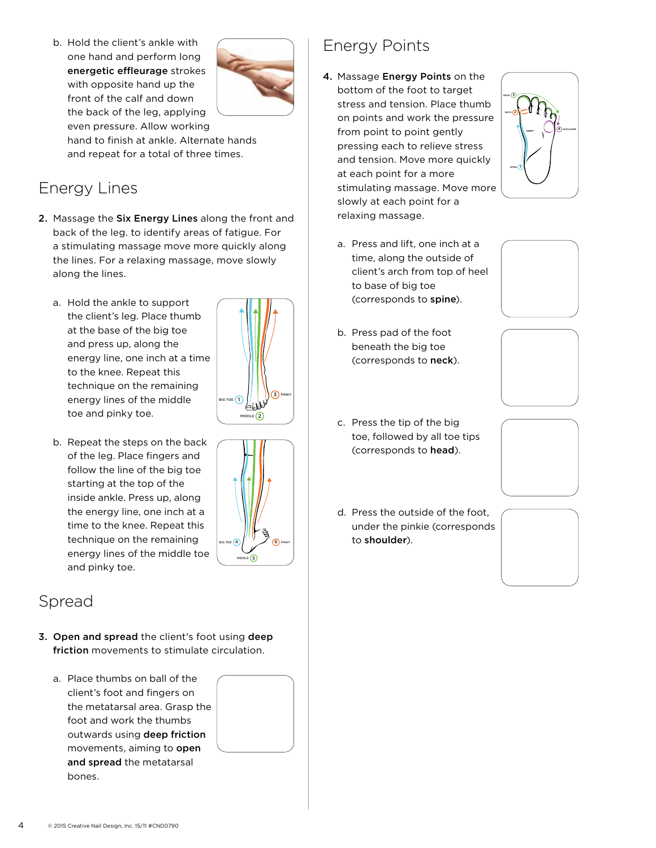b. Hold the client's ankle with one hand and perform long energetic effleurage strokes with opposite hand up the front of the calf and down the back of the leg, applying



even pressure. Allow working hand to finish at ankle. Alternate hands and repeat for a total of three times.

#### Energy Lines

- 2. Massage the Six Energy Lines along the front and back of the leg. to identify areas of fatigue. For a stimulating massage move more quickly along the lines. For a relaxing massage, move slowly along the lines. TOP OF FOOT/LEG ENERGY LINES
	- a. Hold the ankle to support the client's leg. Place thumb at the base of the big toe and press up, along the energy line, one inch at a time to the knee. Repeat this technique on the remaining energy lines of the middle toe and pinky toe.



b. Repeat the steps on the back of the leg. Place fingers and follow the line of the big toe starting at the top of the inside ankle. Press up, along the energy line, one inch at a time to the knee. Repeat this technique on the remaining energy lines of the middle toe and pinky toe.



- 3. Open and spread the client's foot using deep friction movements to stimulate circulation.
	- a. Place thumbs on ball of the client's foot and fingers on the metatarsal area. Grasp the foot and work the thumbs outwards using deep friction movements, aiming to open and spread the metatarsal bones.



6) PINKY

BIG TOE (4

 $DLE$   $(5)$ 

## Energy Points

- 4. Massage Energy Points on the bottom of the foot to target stress and tension. Place thumb on points and work the pressure from point to point gently pressing each to relieve stress and tension. Move more quickly at each point for a more stimulating massage. Move more slowly at each point for a relaxing massage.
	- a. Press and lift, one inch at a time, along the outside of client's arch from top of heel to base of big toe (corresponds to spine).
	- b. Press pad of the foot beneath the big toe (corresponds to neck).
	- c. Press the tip of the big toe, followed by all toe tips (corresponds to head).
	- d. Press the outside of the foot, under the pinkie (corresponds to shoulder).









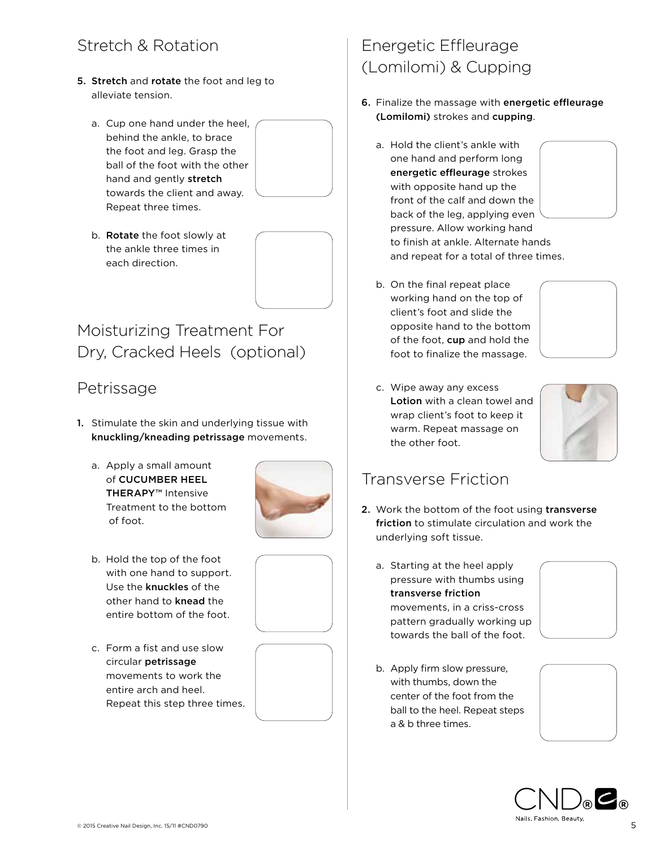#### Stretch & Rotation

- 5. Stretch and rotate the foot and leg to alleviate tension.
	- a. Cup one hand under the heel, behind the ankle, to brace the foot and leg. Grasp the ball of the foot with the other hand and gently stretch towards the client and away. Repeat three times.



b. Rotate the foot slowly at the ankle three times in each direction.



## Moisturizing Treatment For Dry, Cracked Heels (optional)

#### **Petrissage**

- 1. Stimulate the skin and underlying tissue with knuckling/kneading petrissage movements.
	- a. Apply a small amount of CUCUMBER HEEL THERAPY™ Intensive Treatment to the bottom of foot.



- b. Hold the top of the foot with one hand to support. Use the knuckles of the other hand to knead the entire bottom of the foot.
- c. Form a fist and use slow circular petrissage movements to work the entire arch and heel. Repeat this step three times.





# Energetic Effleurage (Lomilomi) & Cupping

- 6. Finalize the massage with energetic effleurage (Lomilomi) strokes and cupping.
	- a. Hold the client's ankle with one hand and perform long energetic effleurage strokes with opposite hand up the front of the calf and down the back of the leg, applying even pressure. Allow working hand to finish at ankle. Alternate hands and repeat for a total of three times.





c. Wipe away any excess Lotion with a clean towel and wrap client's foot to keep it warm. Repeat massage on the other foot.



#### Transverse Friction

- 2. Work the bottom of the foot using transverse friction to stimulate circulation and work the underlying soft tissue.
	- a. Starting at the heel apply pressure with thumbs using transverse friction movements, in a criss-cross pattern gradually working up towards the ball of the foot.



b. Apply firm slow pressure, with thumbs, down the center of the foot from the ball to the heel. Repeat steps a & b three times.